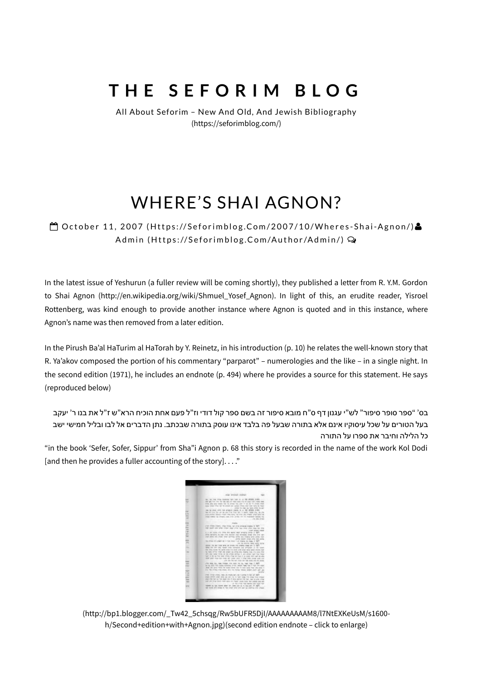# **T H E S E F O R I M B L O G**

All About Seforim – New And Old, And Jewish Bibliography [\(https://seforimblog.com/\)](https://seforimblog.com/)

## WHERE'S SHAI AGNON?

 $\bigoplus$  October 11, 2007 [\(Htt](https://seforimblog.com/2007/10/wheres-shai-agnon/)ps://Seforimblog.Com/2007/10/Wheres-Shai-Agnon/)& Admin [\(Htt](https://seforimblog.com/author/admin/)ps://Seforimblog.Com/Author/Admin/) Q

In the latest issue of Yeshurun (a fuller review will be coming shortly), they published a letter from R. Y.M. Gordon to Shai Agnon [\(http://en.wikipedia.org/wiki/Shmuel\\_Yosef\\_Agnon\).](http://en.wikipedia.org/wiki/Shmuel_Yosef_Agnon) In light of this, an erudite reader, Yisroel Rottenberg, was kind enough to provide another instance where Agnon is quoted and in this instance, where Agnon's name was then removed from a later edition.

In the Pirush Ba'al HaTurim al HaTorah by Y. Reinetz, in his introduction (p. 10) he relates the well-known story that R. Ya'akov composed the portion of his commentary "parparot" – numerologies and the like – in a single night. In the second edition (1971), he includes an endnote (p. 494) where he provides a source for this statement. He says (reproduced below)

בס' "ספר סופר סיפור" לש"י עגנון דף ס"ח מובא סיפור זה בשם ספר קול דודי וז"ל פעם אחת הוכיח הרא"ש ז"ל את בנו ר' יעקב בעל הטורים על שכל עיסוקיו אינם אלא בתורה שבעל פה בלבד אינו עוסק בתורה שבכתב. נתן הדברים אל לבו ובליל חמישי ישב כל הלילה וחיבר את ספרו על התורה

"in the book 'Sefer, Sofer, Sippur' from Sha"i Agnon p. 68 this story is recorded in the name of the work Kol Dodi [and then he provides a fuller accounting of the story]...."



[\(http://bp1.blogger.com/\\_Tw42\\_5chsqg/Rw5bUFR5DjI/AAAAAAAAAM8/l7NtEXKeUsM/s1600](http://bp1.blogger.com/_Tw42_5chsqg/Rw5bUFR5DjI/AAAAAAAAAM8/l7NtEXKeUsM/s1600-h/Second+edition+with+Agnon.jpg) h/Second+edition+with+Agnon.jpg)(second edition endnote – click to enlarge)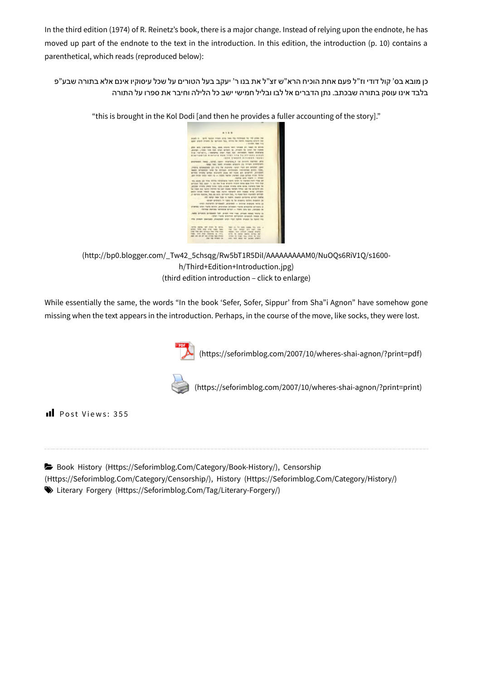In the third edition (1974) of R. Reinetz's book, there is a major change. Instead of relying upon the endnote, he has moved up part of the endnote to the text in the introduction. In this edition, the introduction (p. 10) contains a parenthetical, which reads (reproduced below):

כן מובא בס' קול דודי וז"ל פעם אחת הוכיח הרא"ש זצ"ל את בנו ר' יעקב בעל הטורים על שכל עיסוקיו אינם אלא בתורה שבע"פ בלבד אינו עוסק בתורה שבכתב. נתן הדברים אל לבו ובליל חמישי ישב כל הלילה וחיבר את ספרו על התורה

| m                                                                                                                                                  |  |
|----------------------------------------------------------------------------------------------------------------------------------------------------|--|
|                                                                                                                                                    |  |
|                                                                                                                                                    |  |
|                                                                                                                                                    |  |
|                                                                                                                                                    |  |
| augh in the first manner and the third man by the same and                                                                                         |  |
| appr sript) broads by revision field, which the Aeron meants entrol that                                                                           |  |
| the state of three's very trip                                                                                                                     |  |
| plan ant clampion for, and store with times pri trail in annis                                                                                     |  |
| Jennis Licens And 200 that drops of "Annual at that ye creat                                                                                       |  |
| the ranacy, cheese our run for develop lease standid                                                                                               |  |
| availuation diversita wee visit the 35 nitibal since                                                                                               |  |
| -458 topkick Biningh (Syn)                                                                                                                         |  |
| aromeen news, come vession is a price newspaper                                                                                                    |  |
| mas tall tash though argumn on virush orwanors.                                                                                                    |  |
| years equipped to bit he highes rate, met dis arean, tele-                                                                                         |  |
| reach erredrigh with by Jonapa denticeds transport and/o riter.                                                                                    |  |
| newers. Every no star do son frynan spira anny sprea                                                                                               |  |
| an one way way is - 5000 with times trans area more firms                                                                                          |  |
| reging and signs - linger                                                                                                                          |  |
| WE would call this stories introduced mainty to be marked more most self                                                                           |  |
| groups 760, 2004 11:100 Ave. 3-as arrando higes plays goes 3-as most 5-p.                                                                          |  |
| person miles press tran robs around mine airs more travers have be                                                                                 |  |
| he meet that rights introdu by pair hows remain tritish lab bet airlights blu                                                                      |  |
| gees orcal resolt that two north narrant with homes brita chromn                                                                                   |  |
| 2-bree foots, bu so kill, great bo, is non tut ronds entity                                                                                        |  |
| 415 WES 1994 500 N 19914 Supply guideling groups mades                                                                                             |  |
| ration areas). In rate is to make autos makes on                                                                                                   |  |
| 42 Anne Margers arrested. Concepts, Constant Allenton, Allen-                                                                                      |  |
| premio trich mark strong, anonyme symptom strong in annual is                                                                                      |  |
| recruit morning reconnical largest -- there have any charges tax                                                                                   |  |
| Adds arrange grosses but your your years seven your collect                                                                                        |  |
| rate clear present endors areany uses an                                                                                                           |  |
| and books means there also also also and a fine and the                                                                                            |  |
|                                                                                                                                                    |  |
|                                                                                                                                                    |  |
| AFTER HETAL TAT \$1000 TO MITCH.<br>feder plk file state scares this prior of                                                                      |  |
| areno more and area mass rags.<br>TBI TEL: SEVAL VES SATI TEL                                                                                      |  |
| your tran cars revised they were many<br>record won anticol create singing<br>FOR THE FIR FRONTS & FELL<br>price for recited bearing barbery real- |  |
| mer you all the day of the court of the<br>10103. IS THE TIME STAY STATE TO WANT                                                                   |  |
| Jap be even in<br>try: too most to prost plant                                                                                                     |  |

"this is brought in the Kol Dodi [and then he provides a fuller accounting of the story]."

[\(http://bp0.blogger.com/\\_Tw42\\_5chsqg/Rw5bT1R5DiI/AAAAAAAAAM0/NuOQs6RiV1Q/s1600](http://bp0.blogger.com/_Tw42_5chsqg/Rw5bT1R5DiI/AAAAAAAAAM0/NuOQs6RiV1Q/s1600-h/Third+Edition+Introduction.jpg) h/Third+Edition+Introduction.jpg) (third edition introduction – click to enlarge)

While essentially the same, the words "In the book 'Sefer, Sofer, Sippur' from Sha"i Agnon" have somehow gone missing when the text appears in the introduction. Perhaps, in the course of the move, like socks, they were lost.





[\(https://seforimblog.com/2007/10/wheres-shai-agnon/?print=print\)](https://seforimblog.com/2007/10/wheres-shai-agnon/?print=print)

Il Post Views: 355

Book History [\(Https://Seforimblog.Com/Category/Book-History/\)](https://seforimblog.com/category/book-history/)[,](https://seforimblog.com/category/censorship/) Censorship

(Https://Seforimblog.Com/Category/Censorship/), History [\(Https://Seforimblog.Com/Category/History/\)](https://seforimblog.com/category/history/)

Literary Forgery [\(Https://Seforimblog.Com/Tag/Literary-Forgery/\)](https://seforimblog.com/tag/literary-forgery/)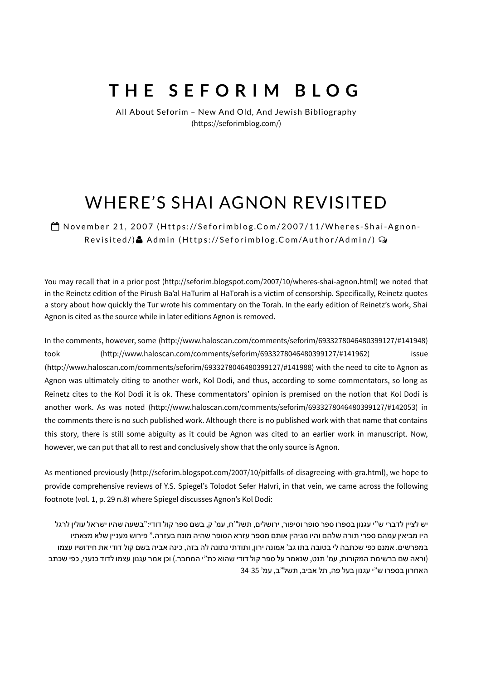## **T H E S E F O R I M B L O G**

All About Seforim – New And Old, And Jewish Bibliography [\(https://seforimblog.com/\)](https://seforimblog.com/)

## WHERE'S SHAI AGNON REVISITED

 $\bigoplus$  November 21, 2007 [\(Htt](https://seforimblog.com/2007/11/wheres-shai-agnon-revisited/)ps://Seforimblog.Com/2007/11/Wheres-Shai-Agnon-Revisited/)& Admin [\(Htt](https://seforimblog.com/author/admin/)ps://Seforimblog.Com/Author/Admin/) Q

You may recall that in a prior post [\(http://seforim.blogspot.com/2007/10/wheres-shai-agnon.html\)](http://seforim.blogspot.com/2007/10/wheres-shai-agnon.html) we noted that in the Reinetz edition of the Pirush Ba'al HaTurim al HaTorah is a victim of censorship. Specifically, Reinetz quotes a story about how quickly the Tur wrote his commentary on the Torah. In the early edition of Reinetz's work, Shai Agnon is cited as the source while in later editions Agnon is removed.

In the comments, however, some [\(http://www.haloscan.com/comments/seforim/6933278046480399127/#141948\)](http://www.haloscan.com/comments/seforim/6933278046480399127/#141948) took [\(http://www.haloscan.com/comments/seforim/6933278046480399127/#141962\)](http://www.haloscan.com/comments/seforim/6933278046480399127/#141962) issue [\(http://www.haloscan.com/comments/seforim/6933278046480399127/#141988\)](http://www.haloscan.com/comments/seforim/6933278046480399127/#141988) with the need to cite to Agnon as Agnon was ultimately citing to another work, Kol Dodi, and thus, according to some commentators, so long as Reinetz cites to the Kol Dodi it is ok. These commentators' opinion is premised on the notion that Kol Dodi is another work. As was noted [\(http://www.haloscan.com/comments/seforim/6933278046480399127/#142053\)](http://www.haloscan.com/comments/seforim/6933278046480399127/#142053) in the comments there is no such published work. Although there is no published work with that name that contains this story, there is still some abiguity as it could be Agnon was cited to an earlier work in manuscript. Now, however, we can put that all to rest and conclusively show that the only source is Agnon.

As mentioned previously [\(http://seforim.blogspot.com/2007/10/pitfalls-of-disagreeing-with-gra.html\),](http://seforim.blogspot.com/2007/10/pitfalls-of-disagreeing-with-gra.html) we hope to provide comprehensive reviews of Y.S. Spiegel's Tolodot Sefer HaIvri, in that vein, we came across the following footnote (vol. 1, p. 29 n.8) where Spiegel discusses Agnon's Kol Dodi:

יש לציין לדברי ש"י עגנון בספרו ספר סופר וסיפור, ירושלים, תשל"ח, עמ' ק, בשם ספר קול דודי:"בשעה שהיו ישראל עולין לרגל היו מביאין עמהם ספרי תורה שלהם והיו מגיהין אותם מספר עזרא הסופר שהיה מונח בעזרה." פירוש מעניין שלא מצאתיו במפרשים. אמנם כפי שכתבה לי בטובה בתו גב' אמונה ירון, ותודתי נתונה לה בזה, כינה אביה בשם קול דודי את חידושיו עצמו (וראה שם ברשימת המקורות, עמ' תנט, שנאמר על ספר קול דודי שהוא כת"י המחבר.) וכן אמר עגנון עצמו לדוד כנעני, כפי שכתב האחרון בספרו ש"י עגנון בעל פה, תל אביב, תשל"ב, עמ' 34-35